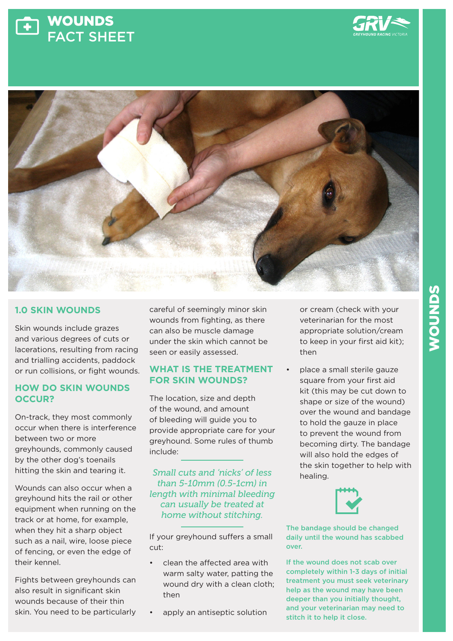





# **1.0 SKIN WOUNDS**

Skin wounds include grazes and various degrees of cuts or lacerations, resulting from racing and trialling accidents, paddock or run collisions, or fight wounds.

## **HOW DO SKIN WOUNDS OCCUR?**

On-track, they most commonly occur when there is interference between two or more greyhounds, commonly caused by the other dog's toenails hitting the skin and tearing it.

Wounds can also occur when a greyhound hits the rail or other equipment when running on the track or at home, for example, when they hit a sharp object such as a nail, wire, loose piece of fencing, or even the edge of their kennel.

Fights between greyhounds can also result in significant skin wounds because of their thin skin. You need to be particularly

careful of seemingly minor skin wounds from fighting, as there can also be muscle damage under the skin which cannot be seen or easily assessed.

## **WHAT IS THE TREATMENT FOR SKIN WOUNDS?**

The location, size and depth of the wound, and amount of bleeding will guide you to provide appropriate care for your greyhound. Some rules of thumb include:

*Small cuts and 'nicks' of less than 5-10mm (0.5-1cm) in length with minimal bleeding can usually be treated at home without stitching.* 

If your greyhound suffers a small cut:

- clean the affected area with warm salty water, patting the wound dry with a clean cloth; then
	- apply an antiseptic solution

or cream (check with your veterinarian for the most appropriate solution/cream to keep in your first aid kit); then

• place a small sterile gauze square from your first aid kit (this may be cut down to shape or size of the wound) over the wound and bandage to hold the gauze in place to prevent the wound from becoming dirty. The bandage will also hold the edges of the skin together to help with healing.



The bandage should be changed daily until the wound has scabbed over.

If the wound does not scab over completely within 1-3 days of initial treatment you must seek veterinary help as the wound may have been deeper than you initially thought, and your veterinarian may need to stitch it to help it close.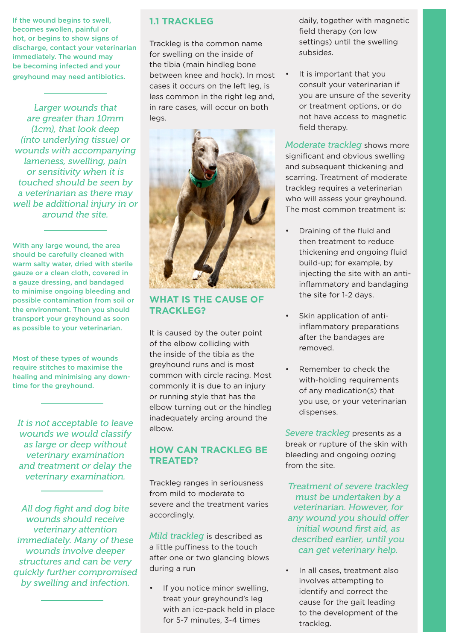If the wound begins to swell, becomes swollen, painful or hot, or begins to show signs of discharge, contact your veterinarian immediately. The wound may be becoming infected and your greyhound may need antibiotics.

*Larger wounds that are greater than 10mm (1cm), that look deep (into underlying tissue) or wounds with accompanying lameness, swelling, pain or sensitivity when it is touched should be seen by a veterinarian as there may well be additional injury in or around the site.*

With any large wound, the area should be carefully cleaned with warm salty water, dried with sterile gauze or a clean cloth, covered in a gauze dressing, and bandaged to minimise ongoing bleeding and possible contamination from soil or the environment. Then you should transport your greyhound as soon as possible to your veterinarian.

Most of these types of wounds require stitches to maximise the healing and minimising any downtime for the greyhound.

*It is not acceptable to leave wounds we would classify as large or deep without veterinary examination and treatment or delay the veterinary examination.*

*All dog fight and dog bite wounds should receive veterinary attention immediately. Many of these wounds involve deeper structures and can be very quickly further compromised by swelling and infection.*

#### **1.1 TRACKLEG**

Trackleg is the common name for swelling on the inside of the tibia (main hindleg bone between knee and hock). In most cases it occurs on the left leg, is less common in the right leg and, in rare cases, will occur on both legs.



#### **WHAT IS THE CAUSE OF TRACKLEG?**

It is caused by the outer point of the elbow colliding with the inside of the tibia as the greyhound runs and is most common with circle racing. Most commonly it is due to an injury or running style that has the elbow turning out or the hindleg inadequately arcing around the elbow.

#### **HOW CAN TRACKLEG BE TREATED?**

Trackleg ranges in seriousness from mild to moderate to severe and the treatment varies accordingly.

*Mild trackleg* is described as a little puffiness to the touch after one or two glancing blows during a run

If you notice minor swelling, treat your greyhound's leg with an ice-pack held in place for 5-7 minutes, 3-4 times

daily, together with magnetic field therapy (on low settings) until the swelling subsides.

• It is important that you consult your veterinarian if you are unsure of the severity or treatment options, or do not have access to magnetic field therapy.

*Moderate trackleg* shows more significant and obvious swelling and subsequent thickening and scarring. Treatment of moderate trackleg requires a veterinarian who will assess your greyhound. The most common treatment is:

- Draining of the fluid and then treatment to reduce thickening and ongoing fluid build-up; for example, by injecting the site with an antiinflammatory and bandaging the site for 1-2 days.
- Skin application of antiinflammatory preparations after the bandages are removed.
- Remember to check the with-holding requirements of any medication(s) that you use, or your veterinarian dispenses.

*Severe trackleg* presents as a break or rupture of the skin with bleeding and ongoing oozing from the site.

*Treatment of severe trackleg must be undertaken by a veterinarian. However, for any wound you should offer initial wound first aid, as described earlier, until you can get veterinary help.*

In all cases, treatment also involves attempting to identify and correct the cause for the gait leading to the development of the trackleg.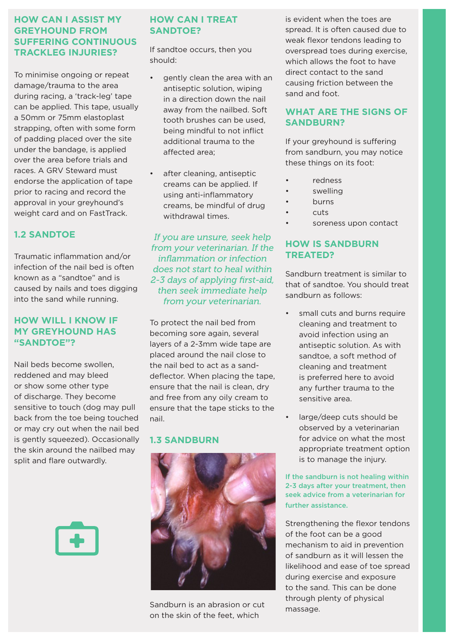## **HOW CAN I ASSIST MY GREYHOUND FROM SUFFERING CONTINUOUS TRACKLEG INJURIES?**

To minimise ongoing or repeat damage/trauma to the area during racing, a 'track-leg' tape can be applied. This tape, usually a 50mm or 75mm elastoplast strapping, often with some form of padding placed over the site under the bandage, is applied over the area before trials and races. A GRV Steward must endorse the application of tape prior to racing and record the approval in your greyhound's weight card and on FastTrack.

# **1.2 SANDTOE**

Traumatic inflammation and/or infection of the nail bed is often known as a "sandtoe" and is caused by nails and toes digging into the sand while running.

#### **HOW WILL I KNOW IF MY GREYHOUND HAS "SANDTOE"?**

Nail beds become swollen, reddened and may bleed or show some other type of discharge. They become sensitive to touch (dog may pull back from the toe being touched or may cry out when the nail bed is gently squeezed). Occasionally the skin around the nailbed may split and flare outwardly.



# **HOW CAN I TREAT SANDTOE?**

If sandtoe occurs, then you should:

- gently clean the area with an antiseptic solution, wiping in a direction down the nail away from the nailbed. Soft tooth brushes can be used, being mindful to not inflict additional trauma to the affected area;
- after cleaning, antiseptic creams can be applied. If using anti-inflammatory creams, be mindful of drug withdrawal times.

*If you are unsure, seek help from your veterinarian. If the inflammation or infection does not start to heal within 2-3 days of applying first-aid, then seek immediate help from your veterinarian.*

To protect the nail bed from becoming sore again, several layers of a 2-3mm wide tape are placed around the nail close to the nail bed to act as a sanddeflector. When placing the tape, ensure that the nail is clean, dry and free from any oily cream to ensure that the tape sticks to the nail.

#### **1.3 SANDBURN**



Sandburn is an abrasion or cut on the skin of the feet, which

is evident when the toes are spread. It is often caused due to weak flexor tendons leading to overspread toes during exercise, which allows the foot to have direct contact to the sand causing friction between the sand and foot.

# **WHAT ARE THE SIGNS OF SANDBURN?**

If your greyhound is suffering from sandburn, you may notice these things on its foot:

- redness
- swelling
- **burns**
- cuts
- soreness upon contact

# **HOW IS SANDBURN TREATED?**

Sandburn treatment is similar to that of sandtoe. You should treat sandburn as follows:

- small cuts and burns require cleaning and treatment to avoid infection using an antiseptic solution. As with sandtoe, a soft method of cleaning and treatment is preferred here to avoid any further trauma to the sensitive area.
- large/deep cuts should be observed by a veterinarian for advice on what the most appropriate treatment option is to manage the injury.

#### If the sandburn is not healing within 2-3 days after your treatment, then seek advice from a veterinarian for further assistance.

Strengthening the flexor tendons of the foot can be a good mechanism to aid in prevention of sandburn as it will lessen the likelihood and ease of toe spread during exercise and exposure to the sand. This can be done through plenty of physical massage.